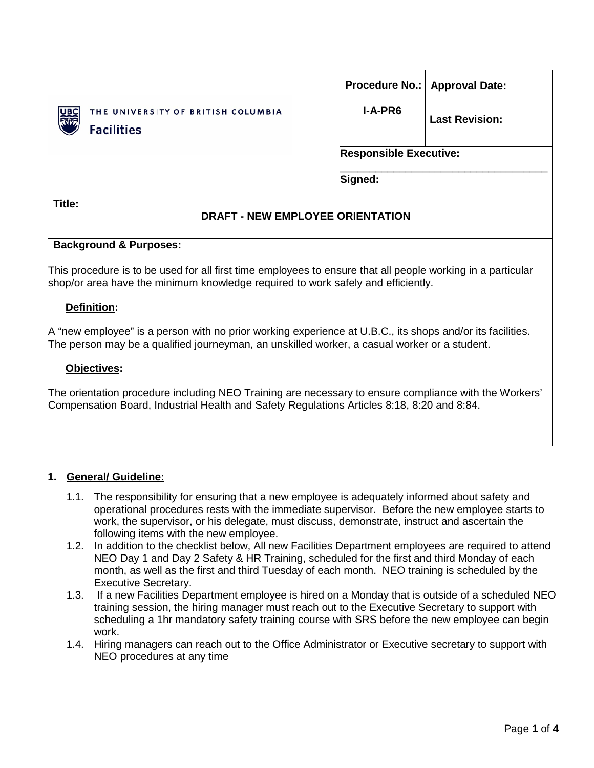|                                                                           |                               | Procedure No.:   Approval Date: |  |
|---------------------------------------------------------------------------|-------------------------------|---------------------------------|--|
| THE UNIVERSITY OF BRITISH COLUMBIA<br>व्या।<br>हर्कह<br><b>Facilities</b> | <b>I-A-PR6</b>                | <b>Last Revision:</b>           |  |
|                                                                           | <b>Responsible Executive:</b> |                                 |  |
|                                                                           | Signed:                       |                                 |  |
| Title:                                                                    |                               |                                 |  |

# **DRAFT - NEW EMPLOYEE ORIENTATION**

## **Background & Purposes:**

This procedure is to be used for all first time employees to ensure that all people working in a particular shop/or area have the minimum knowledge required to work safely and efficiently.

## **Definition:**

A "new employee" is a person with no prior working experience at U.B.C., its shops and/or its facilities. The person may be a qualified journeyman, an unskilled worker, a casual worker or a student.

#### **Objectives:**

The orientation procedure including NEO Training are necessary to ensure compliance with the Workers' Compensation Board, Industrial Health and Safety Regulations Articles 8:18, 8:20 and 8:84.

#### **1. General/ Guideline:**

- 1.1. The responsibility for ensuring that a new employee is adequately informed about safety and operational procedures rests with the immediate supervisor. Before the new employee starts to work, the supervisor, or his delegate, must discuss, demonstrate, instruct and ascertain the following items with the new employee.
- 1.2. In addition to the checklist below, All new Facilities Department employees are required to attend NEO Day 1 and Day 2 Safety & HR Training, scheduled for the first and third Monday of each month, as well as the first and third Tuesday of each month. NEO training is scheduled by the Executive Secretary.
- 1.3. If a new Facilities Department employee is hired on a Monday that is outside of a scheduled NEO training session, the hiring manager must reach out to the Executive Secretary to support with scheduling a 1hr mandatory safety training course with SRS before the new employee can begin work.
- 1.4. Hiring managers can reach out to the Office Administrator or Executive secretary to support with NEO procedures at any time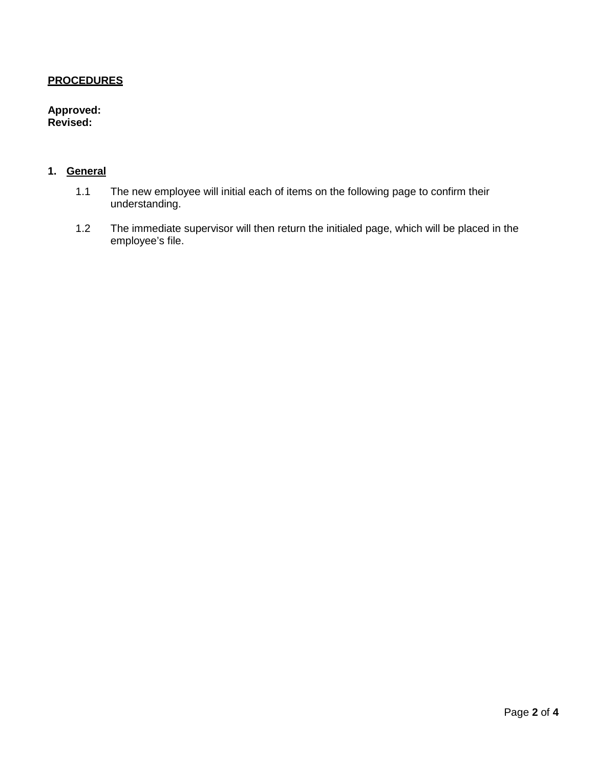## **PROCEDURES**

## **Approved: Revised:**

# **1. General**

- 1.1 The new employee will initial each of items on the following page to confirm their understanding.
- 1.2 The immediate supervisor will then return the initialed page, which will be placed in the employee's file.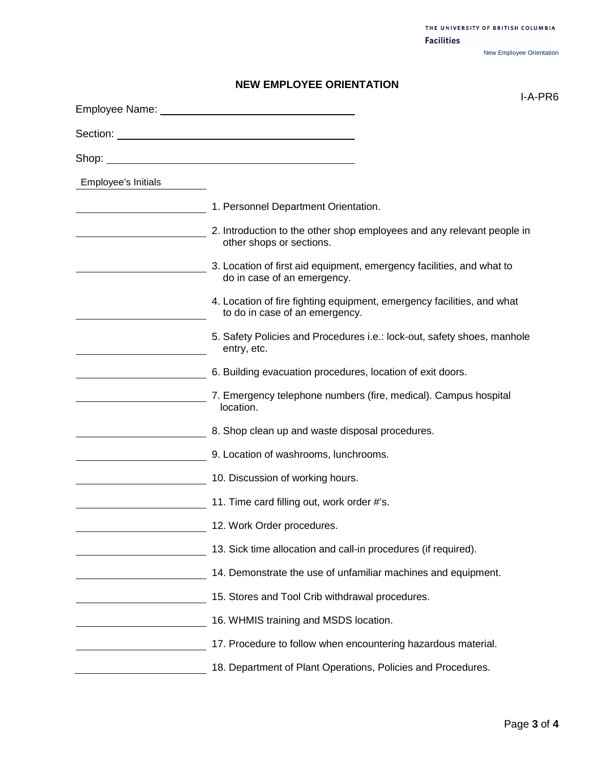THE UNIVERSITY OF BRITISH COLUMBIA **Facilities** New Employee Orientation

# **NEW EMPLOYEE ORIENTATION**

|                     | I-A-PR6                                                                                                  |
|---------------------|----------------------------------------------------------------------------------------------------------|
|                     |                                                                                                          |
|                     |                                                                                                          |
| Employee's Initials |                                                                                                          |
|                     | 1. Personnel Department Orientation.                                                                     |
|                     | 2. Introduction to the other shop employees and any relevant people in<br>other shops or sections.       |
|                     | 3. Location of first aid equipment, emergency facilities, and what to<br>do in case of an emergency.     |
|                     | 4. Location of fire fighting equipment, emergency facilities, and what<br>to do in case of an emergency. |
|                     | 5. Safety Policies and Procedures i.e.: lock-out, safety shoes, manhole<br>entry, etc.                   |
|                     | 6. Building evacuation procedures, location of exit doors.                                               |
|                     | 7. Emergency telephone numbers (fire, medical). Campus hospital<br>location.                             |
|                     | 8. Shop clean up and waste disposal procedures.                                                          |
|                     | 9. Location of washrooms, lunchrooms.                                                                    |
|                     | 10. Discussion of working hours.                                                                         |
|                     | 11. Time card filling out, work order #'s.                                                               |
|                     | 12. Work Order procedures.                                                                               |
|                     | 13. Sick time allocation and call-in procedures (if required).                                           |
|                     | 14. Demonstrate the use of unfamiliar machines and equipment.                                            |
|                     | 15. Stores and Tool Crib withdrawal procedures.                                                          |
|                     | 16. WHMIS training and MSDS location.                                                                    |
|                     | 17. Procedure to follow when encountering hazardous material.                                            |
|                     | 18. Department of Plant Operations, Policies and Procedures.                                             |